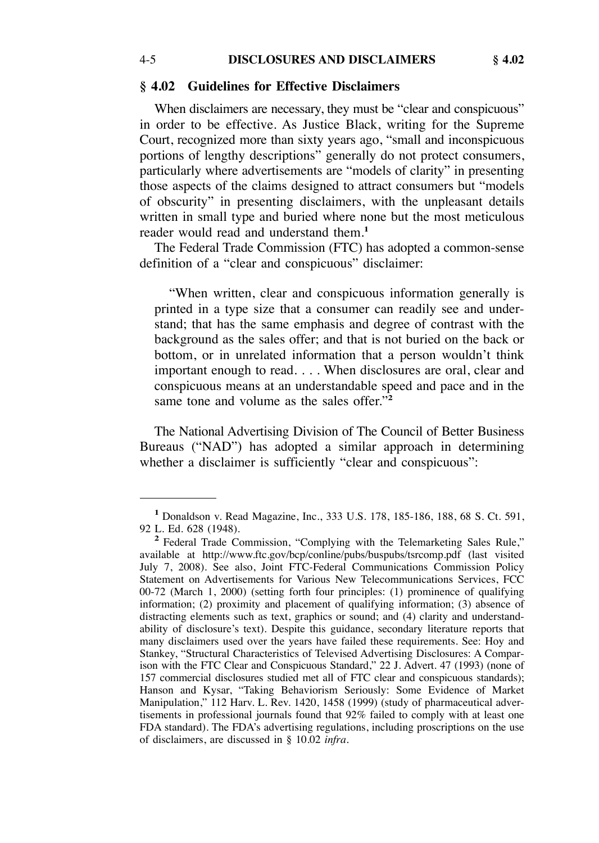### **§ 4.02 Guidelines for Effective Disclaimers**

When disclaimers are necessary, they must be "clear and conspicuous" in order to be effective. As Justice Black, writing for the Supreme Court, recognized more than sixty years ago, "small and inconspicuous portions of lengthy descriptions" generally do not protect consumers, particularly where advertisements are "models of clarity" in presenting those aspects of the claims designed to attract consumers but "models of obscurity" in presenting disclaimers, with the unpleasant details written in small type and buried where none but the most meticulous reader would read and understand them.**<sup>1</sup>**

The Federal Trade Commission (FTC) has adopted a common-sense definition of a "clear and conspicuous" disclaimer:

"When written, clear and conspicuous information generally is printed in a type size that a consumer can readily see and understand; that has the same emphasis and degree of contrast with the background as the sales offer; and that is not buried on the back or bottom, or in unrelated information that a person wouldn't think important enough to read. . . . When disclosures are oral, clear and conspicuous means at an understandable speed and pace and in the same tone and volume as the sales offer."**<sup>2</sup>**

The National Advertising Division of The Council of Better Business Bureaus ("NAD") has adopted a similar approach in determining whether a disclaimer is sufficiently "clear and conspicuous":

<sup>&</sup>lt;sup>1</sup> Donaldson v. Read Magazine, Inc., 333 U.S. 178, 185-186, 188, 68 S. Ct. 591, 92 L. Ed. 628 (1948).

<sup>&</sup>lt;sup>2</sup> Federal Trade Commission, "Complying with the Telemarketing Sales Rule," available at http://www.ftc.gov/bcp/conline/pubs/buspubs/tsrcomp.pdf (last visited July 7, 2008). See also, Joint FTC-Federal Communications Commission Policy Statement on Advertisements for Various New Telecommunications Services, FCC 00-72 (March 1, 2000) (setting forth four principles: (1) prominence of qualifying information; (2) proximity and placement of qualifying information; (3) absence of distracting elements such as text, graphics or sound; and (4) clarity and understandability of disclosure's text). Despite this guidance, secondary literature reports that many disclaimers used over the years have failed these requirements. See: Hoy and Stankey, "Structural Characteristics of Televised Advertising Disclosures: A Comparison with the FTC Clear and Conspicuous Standard," 22 J. Advert. 47 (1993) (none of 157 commercial disclosures studied met all of FTC clear and conspicuous standards); Hanson and Kysar, "Taking Behaviorism Seriously: Some Evidence of Market Manipulation," 112 Harv. L. Rev. 1420, 1458 (1999) (study of pharmaceutical advertisements in professional journals found that 92% failed to comply with at least one FDA standard). The FDA's advertising regulations, including proscriptions on the use of disclaimers, are discussed in § 10.02 *infra*.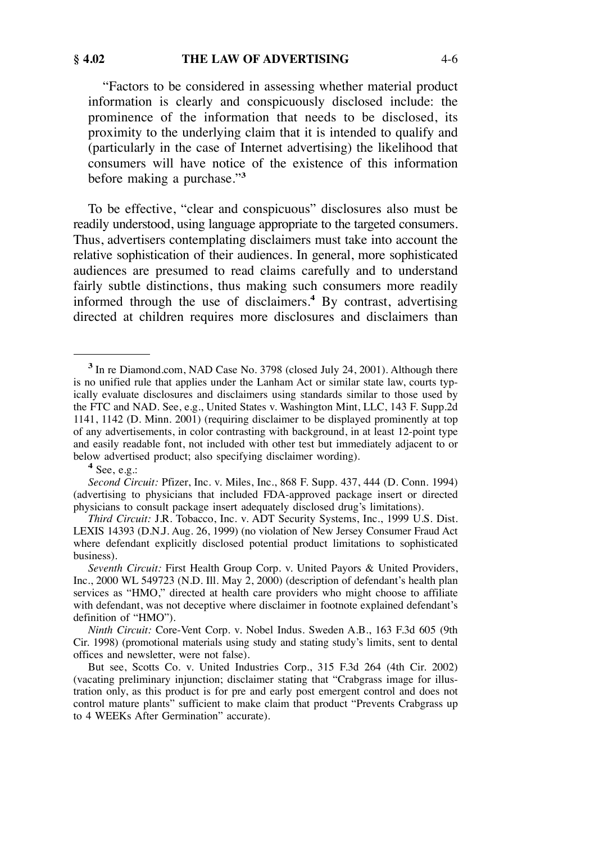"Factors to be considered in assessing whether material product information is clearly and conspicuously disclosed include: the prominence of the information that needs to be disclosed, its proximity to the underlying claim that it is intended to qualify and (particularly in the case of Internet advertising) the likelihood that consumers will have notice of the existence of this information before making a purchase."**<sup>3</sup>**

To be effective, "clear and conspicuous" disclosures also must be readily understood, using language appropriate to the targeted consumers. Thus, advertisers contemplating disclaimers must take into account the relative sophistication of their audiences. In general, more sophisticated audiences are presumed to read claims carefully and to understand fairly subtle distinctions, thus making such consumers more readily informed through the use of disclaimers.**<sup>4</sup>** By contrast, advertising directed at children requires more disclosures and disclaimers than

**<sup>3</sup>**In re Diamond.com, NAD Case No. 3798 (closed July 24, 2001). Although there is no unified rule that applies under the Lanham Act or similar state law, courts typically evaluate disclosures and disclaimers using standards similar to those used by the FTC and NAD. See, e.g., United States v. Washington Mint, LLC, 143 F. Supp.2d 1141, 1142 (D. Minn. 2001) (requiring disclaimer to be displayed prominently at top of any advertisements, in color contrasting with background, in at least 12-point type and easily readable font, not included with other test but immediately adjacent to or below advertised product; also specifying disclaimer wording). **<sup>4</sup>**See, e.g.:

*Second Circuit:* Pfizer, Inc. v. Miles, Inc., 868 F. Supp. 437, 444 (D. Conn. 1994) (advertising to physicians that included FDA-approved package insert or directed physicians to consult package insert adequately disclosed drug's limitations).

*Third Circuit:* J.R. Tobacco, Inc. v. ADT Security Systems, Inc., 1999 U.S. Dist. LEXIS 14393 (D.N.J. Aug. 26, 1999) (no violation of New Jersey Consumer Fraud Act where defendant explicitly disclosed potential product limitations to sophisticated business).

*Seventh Circuit:* First Health Group Corp. v. United Payors & United Providers, Inc., 2000 WL 549723 (N.D. Ill. May  $2, 2000$ ) (description of defendant's health plan services as "HMO," directed at health care providers who might choose to affiliate with defendant, was not deceptive where disclaimer in footnote explained defendant's definition of "HMO").

*Ninth Circuit:* Core-Vent Corp. v. Nobel Indus. Sweden A.B., 163 F.3d 605 (9th Cir. 1998) (promotional materials using study and stating study's limits, sent to dental offices and newsletter, were not false).

But see, Scotts Co. v. United Industries Corp., 315 F.3d 264 (4th Cir. 2002) (vacating preliminary injunction; disclaimer stating that "Crabgrass image for illustration only, as this product is for pre and early post emergent control and does not control mature plants" sufficient to make claim that product "Prevents Crabgrass up to 4 WEEKs After Germination" accurate).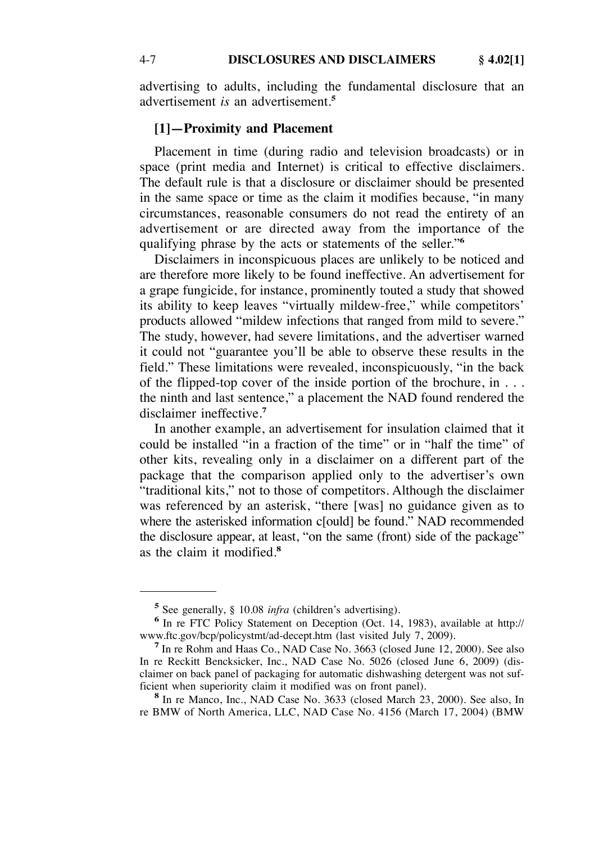advertising to adults, including the fundamental disclosure that an advertisement *is* an advertisement.**<sup>5</sup>**

# **[1]—Proximity and Placement**

Placement in time (during radio and television broadcasts) or in space (print media and Internet) is critical to effective disclaimers. The default rule is that a disclosure or disclaimer should be presented in the same space or time as the claim it modifies because, "in many circumstances, reasonable consumers do not read the entirety of an advertisement or are directed away from the importance of the qualifying phrase by the acts or statements of the seller."**<sup>6</sup>**

Disclaimers in inconspicuous places are unlikely to be noticed and are therefore more likely to be found ineffective. An advertisement for a grape fungicide, for instance, prominently touted a study that showed its ability to keep leaves "virtually mildew-free," while competitors' products allowed "mildew infections that ranged from mild to severe." The study, however, had severe limitations, and the advertiser warned it could not "guarantee you'll be able to observe these results in the field." These limitations were revealed, inconspicuously, "in the back of the flipped-top cover of the inside portion of the brochure, in . . . the ninth and last sentence," a placement the NAD found rendered the disclaimer ineffective.**<sup>7</sup>**

In another example, an advertisement for insulation claimed that it could be installed "in a fraction of the time" or in "half the time" of other kits, revealing only in a disclaimer on a different part of the package that the comparison applied only to the advertiser's own "traditional kits," not to those of competitors. Although the disclaimer was referenced by an asterisk, "there [was] no guidance given as to where the asterisked information c[ould] be found." NAD recommended the disclosure appear, at least, "on the same (front) side of the package" as the claim it modified.**<sup>8</sup>**

**<sup>5</sup>** See generally, § 10.08 *infra* (children's advertising).<br> **6** In re FTC Policy Statement on Deception (Oct. 14, 1983), available at http://<br>
www.ftc.gov/bcp/policystmt/ad-decept.htm (last visited July 7, 2009).

<sup>&</sup>lt;sup>7</sup> In re Rohm and Haas Co., NAD Case No. 3663 (closed June 12, 2000). See also In re Reckitt Bencksicker, Inc., NAD Case No. 5026 (closed June 6, 2009) (disclaimer on back panel of packaging for automatic dishwashing detergent was not suf-<br>ficient when superiority claim it modified was on front panel).

<sup>&</sup>lt;sup>8</sup> In re Manco, Inc., NAD Case No. 3633 (closed March 23, 2000). See also, In re BMW of North America, LLC, NAD Case No. 4156 (March 17, 2004) (BMW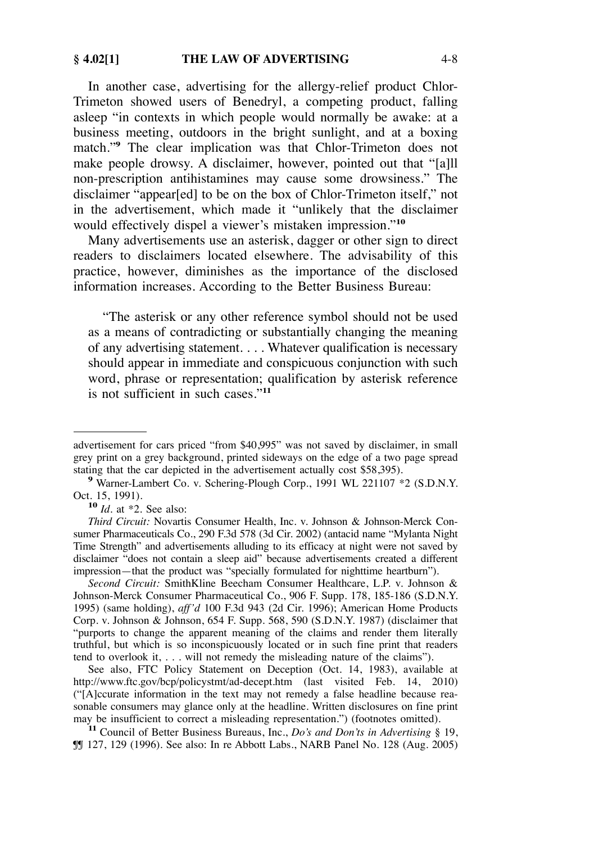In another case, advertising for the allergy-relief product Chlor-Trimeton showed users of Benedryl, a competing product, falling asleep "in contexts in which people would normally be awake: at a business meeting, outdoors in the bright sunlight, and at a boxing match."<sup>9</sup> The clear implication was that Chlor-Trimeton does not make people drowsy. A disclaimer, however, pointed out that "[a]ll non-prescription antihistamines may cause some drowsiness." The disclaimer "appear[ed] to be on the box of Chlor-Trimeton itself," not in the advertisement, which made it "unlikely that the disclaimer would effectively dispel a viewer's mistaken impression."**<sup>10</sup>**

Many advertisements use an asterisk, dagger or other sign to direct readers to disclaimers located elsewhere. The advisability of this practice, however, diminishes as the importance of the disclosed information increases. According to the Better Business Bureau:

"The asterisk or any other reference symbol should not be used as a means of contradicting or substantially changing the meaning of any advertising statement. . . . Whatever qualification is necessary should appear in immediate and conspicuous conjunction with such word, phrase or representation; qualification by asterisk reference is not sufficient in such cases."**<sup>11</sup>**

<sup>10</sup> *Id.* at \*2. See also:

*Second Circuit:* SmithKline Beecham Consumer Healthcare, L.P. v. Johnson & Johnson-Merck Consumer Pharmaceutical Co., 906 F. Supp. 178, 185-186 (S.D.N.Y. 1995) (same holding), *aff'd* 100 F.3d 943 (2d Cir. 1996); American Home Products Corp. v. Johnson & Johnson, 654 F. Supp. 568, 590 (S.D.N.Y. 1987) (disclaimer that "purports to change the apparent meaning of the claims and render them literally truthful, but which is so inconspicuously located or in such fine print that readers tend to overlook it, . . . will not remedy the misleading nature of the claims").

See also, FTC Policy Statement on Deception (Oct. 14, 1983), available at http://www.ftc.gov/bcp/policystmt/ad-decept.htm (last visited Feb. 14, 2010) ("[A]ccurate information in the text may not remedy a false headline because reasonable consumers may glance only at the headline. Written disclosures on fine print may be insufficient to correct a misleading representation.") (footnotes omitted).

<sup>11</sup> Council of Better Business Bureaus, Inc., *Do's and Don'ts in Advertising* § 19, ¶¶ 127, 129 (1996). See also: In re Abbott Labs., NARB Panel No. 128 (Aug. 2005)

advertisement for cars priced "from \$40,995" was not saved by disclaimer, in small grey print on a grey background, printed sideways on the edge of a two page spread stating that the car depicted in the advertisement actually cost \$58,395).

<sup>&</sup>lt;sup>9</sup> Warner-Lambert Co. v. Schering-Plough Corp., 1991 WL 221107 \*2 (S.D.N.Y. Oct. 15, 1991).

*Third Circuit:* Novartis Consumer Health, Inc. v. Johnson & Johnson-Merck Consumer Pharmaceuticals Co., 290 F.3d 578 (3d Cir. 2002) (antacid name "Mylanta Night Time Strength" and advertisements alluding to its efficacy at night were not saved by disclaimer "does not contain a sleep aid" because advertisements created a different impression—that the product was "specially formulated for nighttime heartburn").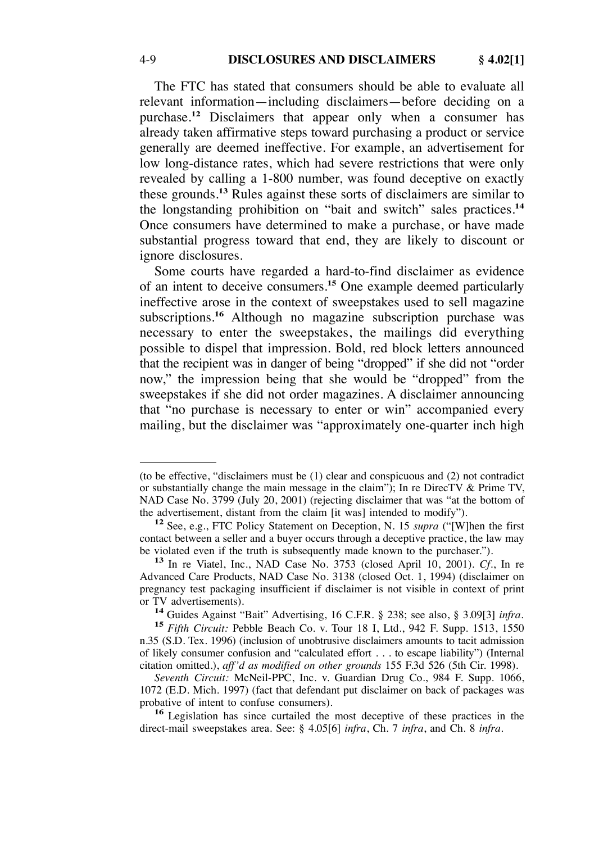The FTC has stated that consumers should be able to evaluate all relevant information—including disclaimers—before deciding on a purchase.**<sup>12</sup>** Disclaimers that appear only when a consumer has already taken affirmative steps toward purchasing a product or service generally are deemed ineffective. For example, an advertisement for low long-distance rates, which had severe restrictions that were only revealed by calling a 1-800 number, was found deceptive on exactly these grounds.**<sup>13</sup>** Rules against these sorts of disclaimers are similar to the longstanding prohibition on "bait and switch" sales practices.**<sup>14</sup>** Once consumers have determined to make a purchase, or have made substantial progress toward that end, they are likely to discount or ignore disclosures.

Some courts have regarded a hard-to-find disclaimer as evidence of an intent to deceive consumers.**<sup>15</sup>** One example deemed particularly ineffective arose in the context of sweepstakes used to sell magazine subscriptions.**<sup>16</sup>** Although no magazine subscription purchase was necessary to enter the sweepstakes, the mailings did everything possible to dispel that impression. Bold, red block letters announced that the recipient was in danger of being "dropped" if she did not "order now," the impression being that she would be "dropped" from the sweepstakes if she did not order magazines. A disclaimer announcing that "no purchase is necessary to enter or win" accompanied every mailing, but the disclaimer was "approximately one-quarter inch high

or TV advertisements). **<sup>14</sup>**Guides Against "Bait" Advertising, 16 C.F.R. § 238; see also, § 3.09[3] *infra*. **<sup>15</sup>***Fifth Circuit:* Pebble Beach Co. v. Tour 18 I, Ltd., 942 F. Supp. 1513, 1550 n.35 (S.D. Tex. 1996) (inclusion of unobtrusive disclaimers amounts to tacit admission of likely consumer confusion and "calculated effort . . . to escape liability") (Internal citation omitted.), *aff'd as modified on other grounds* 155 F.3d 526 (5th Cir. 1998).

*Seventh Circuit:* McNeil-PPC, Inc. v. Guardian Drug Co., 984 F. Supp. 1066, 1072 (E.D. Mich. 1997) (fact that defendant put disclaimer on back of packages was

<sup>16</sup> Legislation has since curtailed the most deceptive of these practices in the direct-mail sweepstakes area. See: § 4.05[6] *infra*, Ch. 7 *infra*, and Ch. 8 *infra*.

<sup>(</sup>to be effective, "disclaimers must be (1) clear and conspicuous and (2) not contradict or substantially change the main message in the claim"); In re DirecTV & Prime TV, NAD Case No. 3799 (July 20, 2001) (rejecting disclaimer that was "at the bottom of the advertisement, distant from the claim [it was] intended to modify").

<sup>&</sup>lt;sup>12</sup> See, e.g., FTC Policy Statement on Deception, N. 15 *supra* ("[W]hen the first contact between a seller and a buyer occurs through a deceptive practice, the law may be violated even if the truth is subsequently made known to the purchaser."). **<sup>13</sup>**In re Viatel, Inc., NAD Case No. 3753 (closed April 10, 2001). *Cf*., In re

Advanced Care Products, NAD Case No. 3138 (closed Oct. 1, 1994) (disclaimer on pregnancy test packaging insufficient if disclaimer is not visible in context of print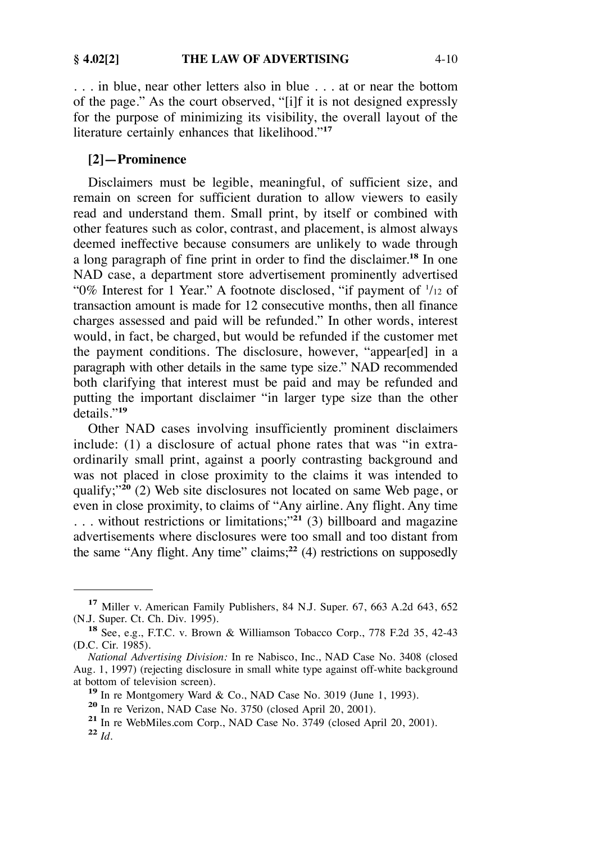. . . in blue, near other letters also in blue . . . at or near the bottom of the page." As the court observed, "[i]f it is not designed expressly for the purpose of minimizing its visibility, the overall layout of the literature certainly enhances that likelihood."**<sup>17</sup>**

# **[2]—Prominence**

Disclaimers must be legible, meaningful, of sufficient size, and remain on screen for sufficient duration to allow viewers to easily read and understand them. Small print, by itself or combined with other features such as color, contrast, and placement, is almost always deemed ineffective because consumers are unlikely to wade through a long paragraph of fine print in order to find the disclaimer.**<sup>18</sup>** In one NAD case, a department store advertisement prominently advertised "0% Interest for 1 Year." A footnote disclosed, "if payment of  $1/12$  of transaction amount is made for 12 consecutive months, then all finance charges assessed and paid will be refunded." In other words, interest would, in fact, be charged, but would be refunded if the customer met the payment conditions. The disclosure, however, "appear[ed] in a paragraph with other details in the same type size." NAD recommended both clarifying that interest must be paid and may be refunded and putting the important disclaimer "in larger type size than the other details."**<sup>19</sup>**

Other NAD cases involving insufficiently prominent disclaimers include: (1) a disclosure of actual phone rates that was "in extraordinarily small print, against a poorly contrasting background and was not placed in close proximity to the claims it was intended to qualify;"**<sup>20</sup>** (2) Web site disclosures not located on same Web page, or even in close proximity, to claims of "Any airline. Any flight. Any time . . . without restrictions or limitations;"**<sup>21</sup>** (3) billboard and magazine advertisements where disclosures were too small and too distant from the same "Any flight. Any time" claims;**<sup>22</sup>** (4) restrictions on supposedly

<sup>&</sup>lt;sup>17</sup> Miller v. American Family Publishers, 84 N.J. Super. 67, 663 A.2d 643, 652 (N.J. Super. Ct. Ch. Div. 1995).

<sup>&</sup>lt;sup>18</sup> See, e.g., F.T.C. v. Brown & Williamson Tobacco Corp., 778 F.2d 35, 42-43 (D.C. Cir. 1985).

*National Advertising Division:* In re Nabisco, Inc., NAD Case No. 3408 (closed Aug. 1, 1997) (rejecting disclosure in small white type against off-white background

<sup>&</sup>lt;sup>19</sup> In re Montgomery Ward & Co., NAD Case No. 3019 (June 1, 1993).<br><sup>20</sup> In re Verizon, NAD Case No. 3750 (closed April 20, 2001).<br><sup>21</sup> In re WebMiles.com Corp., NAD Case No. 3749 (closed April 20, 2001).<br><sup>22</sup> Id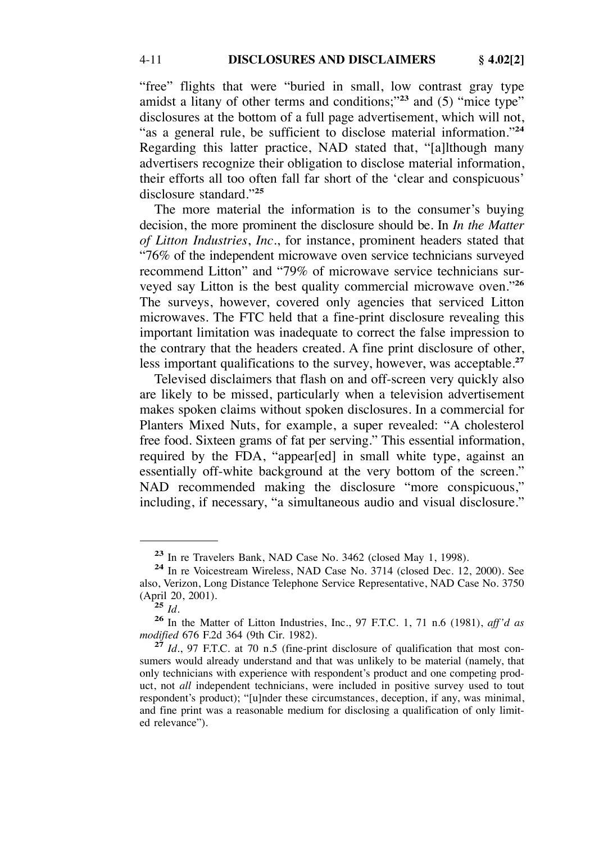"free" flights that were "buried in small, low contrast gray type amidst a litany of other terms and conditions;"**<sup>23</sup>** and (5) "mice type" disclosures at the bottom of a full page advertisement, which will not, "as a general rule, be sufficient to disclose material information."**<sup>24</sup>** Regarding this latter practice, NAD stated that, "[a]lthough many advertisers recognize their obligation to disclose material information, their efforts all too often fall far short of the 'clear and conspicuous' disclosure standard."**<sup>25</sup>**

The more material the information is to the consumer's buying decision, the more prominent the disclosure should be. In *In the Matter of Litton Industries*, *Inc*., for instance, prominent headers stated that "76% of the independent microwave oven service technicians surveyed recommend Litton" and "79% of microwave service technicians surveyed say Litton is the best quality commercial microwave oven."**<sup>26</sup>** The surveys, however, covered only agencies that serviced Litton microwaves. The FTC held that a fine-print disclosure revealing this important limitation was inadequate to correct the false impression to the contrary that the headers created. A fine print disclosure of other, less important qualifications to the survey, however, was acceptable.**<sup>27</sup>**

Televised disclaimers that flash on and off-screen very quickly also are likely to be missed, particularly when a television advertisement makes spoken claims without spoken disclosures. In a commercial for Planters Mixed Nuts, for example, a super revealed: "A cholesterol free food. Sixteen grams of fat per serving." This essential information, required by the FDA, "appear[ed] in small white type, against an essentially off-white background at the very bottom of the screen." NAD recommended making the disclosure "more conspicuous," including, if necessary, "a simultaneous audio and visual disclosure."

**<sup>23</sup>** In re Travelers Bank, NAD Case No. 3462 (closed May 1, 1998). **<sup>24</sup>** In re Voicestream Wireless, NAD Case No. 3714 (closed Dec. 12, 2000). See also, Verizon, Long Distance Telephone Service Representative, NAD Case No. 3750

<sup>(</sup>April 20, 2001). **<sup>25</sup>** *Id*. **<sup>26</sup>**In the Matter of Litton Industries, Inc., 97 F.T.C. 1, 71 n.6 (1981), *aff'd as*

<sup>&</sup>lt;sup>27</sup> *Id.*, 97 F.T.C. at 70 n.5 (fine-print disclosure of qualification that most consumers would already understand and that was unlikely to be material (namely, that only technicians with experience with respondent's product and one competing product, not *all* independent technicians, were included in positive survey used to tout respondent's product); "[u]nder these circumstances, deception, if any, was minimal, and fine print was a reasonable medium for disclosing a qualification of only limited relevance").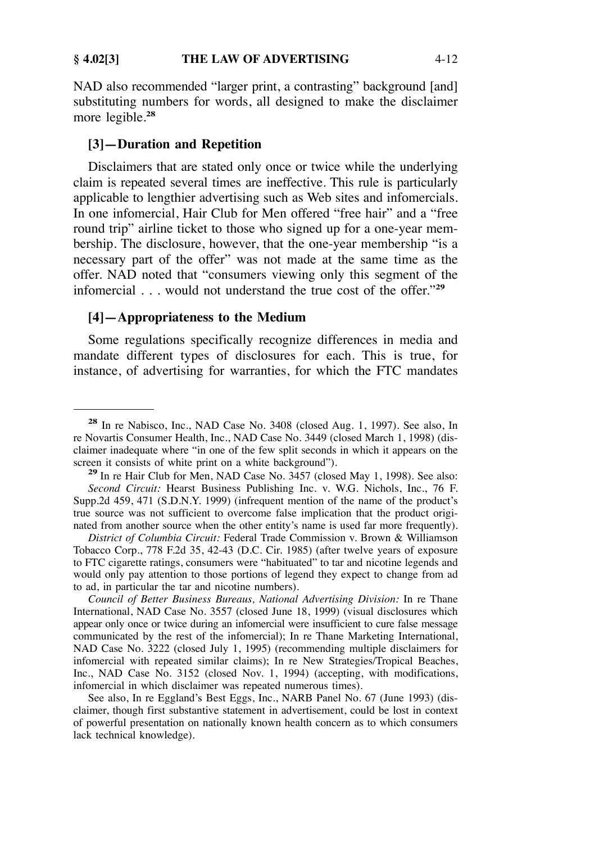#### **§ 4.02[3]** THE LAW OF ADVERTISING 4-12

NAD also recommended "larger print, a contrasting" background [and] substituting numbers for words, all designed to make the disclaimer more legible.**<sup>28</sup>**

## **[3]—Duration and Repetition**

Disclaimers that are stated only once or twice while the underlying claim is repeated several times are ineffective. This rule is particularly applicable to lengthier advertising such as Web sites and infomercials. In one infomercial, Hair Club for Men offered "free hair" and a "free round trip" airline ticket to those who signed up for a one-year membership. The disclosure, however, that the one-year membership "is a necessary part of the offer" was not made at the same time as the offer. NAD noted that "consumers viewing only this segment of the infomercial . . . would not understand the true cost of the offer."**<sup>29</sup>**

# **[4]—Appropriateness to the Medium**

Some regulations specifically recognize differences in media and mandate different types of disclosures for each. This is true, for instance, of advertising for warranties, for which the FTC mandates

**<sup>28</sup>** In re Nabisco, Inc., NAD Case No. 3408 (closed Aug. 1, 1997). See also, In re Novartis Consumer Health, Inc., NAD Case No. 3449 (closed March 1, 1998) (disclaimer inadequate where "in one of the few split seconds in which it appears on the screen it consists of white print on a white background").

<sup>&</sup>lt;sup>29</sup> In re Hair Club for Men, NAD Case No. 3457 (closed May 1, 1998). See also: *Second Circuit:* Hearst Business Publishing Inc. v. W.G. Nichols, Inc., 76 F. Supp.2d 459, 471 (S.D.N.Y. 1999) (infrequent mention of the name of the product's true source was not sufficient to overcome false implication that the product originated from another source when the other entity's name is used far more frequently).

*District of Columbia Circuit:* Federal Trade Commission v. Brown & Williamson Tobacco Corp., 778 F.2d 35, 42-43 (D.C. Cir. 1985) (after twelve years of exposure to FTC cigarette ratings, consumers were "habituated" to tar and nicotine legends and would only pay attention to those portions of legend they expect to change from ad to ad, in particular the tar and nicotine numbers).

*Council of Better Business Bureaus, National Advertising Division:* In re Thane International, NAD Case No. 3557 (closed June 18, 1999) (visual disclosures which appear only once or twice during an infomercial were insufficient to cure false message communicated by the rest of the infomercial); In re Thane Marketing International, NAD Case No. 3222 (closed July 1, 1995) (recommending multiple disclaimers for infomercial with repeated similar claims); In re New Strategies/Tropical Beaches, Inc., NAD Case No. 3152 (closed Nov. 1, 1994) (accepting, with modifications, infomercial in which disclaimer was repeated numerous times).

See also, In re Eggland's Best Eggs, Inc., NARB Panel No. 67 (June 1993) (disclaimer, though first substantive statement in advertisement, could be lost in context of powerful presentation on nationally known health concern as to which consumers lack technical knowledge).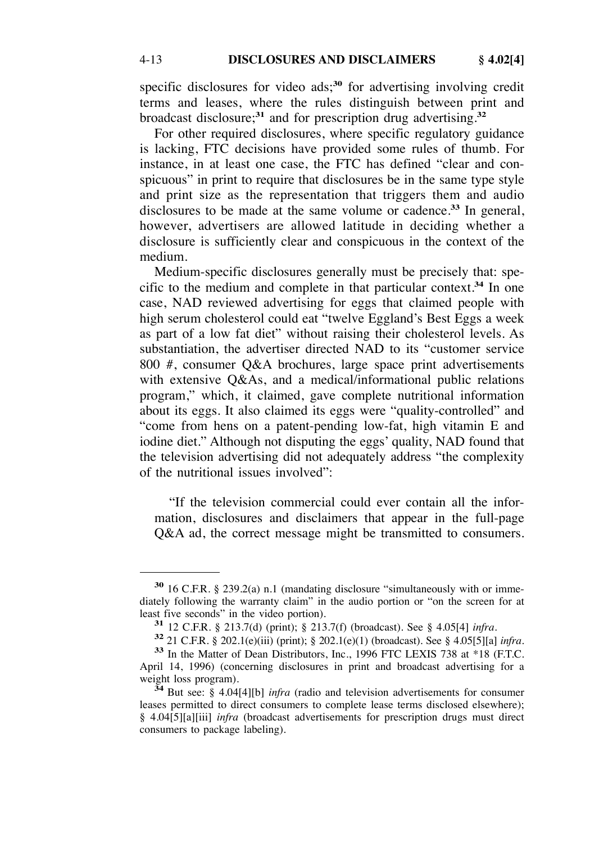specific disclosures for video ads;**<sup>30</sup>** for advertising involving credit terms and leases, where the rules distinguish between print and broadcast disclosure;**<sup>31</sup>** and for prescription drug advertising.**<sup>32</sup>**

For other required disclosures, where specific regulatory guidance is lacking, FTC decisions have provided some rules of thumb. For instance, in at least one case, the FTC has defined "clear and conspicuous" in print to require that disclosures be in the same type style and print size as the representation that triggers them and audio disclosures to be made at the same volume or cadence.**<sup>33</sup>** In general, however, advertisers are allowed latitude in deciding whether a disclosure is sufficiently clear and conspicuous in the context of the medium.

Medium-specific disclosures generally must be precisely that: specific to the medium and complete in that particular context.**<sup>34</sup>** In one case, NAD reviewed advertising for eggs that claimed people with high serum cholesterol could eat "twelve Eggland's Best Eggs a week as part of a low fat diet" without raising their cholesterol levels. As substantiation, the advertiser directed NAD to its "customer service 800 #, consumer Q&A brochures, large space print advertisements with extensive Q&As, and a medical/informational public relations program," which, it claimed, gave complete nutritional information about its eggs. It also claimed its eggs were "quality-controlled" and "come from hens on a patent-pending low-fat, high vitamin E and iodine diet." Although not disputing the eggs' quality, NAD found that the television advertising did not adequately address "the complexity of the nutritional issues involved":

"If the television commercial could ever contain all the information, disclosures and disclaimers that appear in the full-page Q&A ad, the correct message might be transmitted to consumers.

**<sup>30</sup>** 16 C.F.R. § 239.2(a) n.1 (mandating disclosure "simultaneously with or immediately following the warranty claim" in the audio portion or "on the screen for at least five seconds" in the video portion).

<sup>&</sup>lt;sup>31</sup> 12 C.F.R. § 213.7(d) (print); § 213.7(f) (broadcast). See § 4.05[4] *infra*.<br><sup>32</sup> 21 C.F.R. § 202.1(e)(iii) (print); § 202.1(e)(1) (broadcast). See § 4.05[5][a] *infra*.<br><sup>33</sup> In the Matter of Dean Distributors, Inc.,

April 14, 1996) (concerning disclosures in print and broadcast advertising for a weight loss program).

 $\frac{34}{34}$ But see:  $\frac{8}{8}$  4.04[4][b] *infra* (radio and television advertisements for consumer leases permitted to direct consumers to complete lease terms disclosed elsewhere); § 4.04[5][a][iii] *infra* (broadcast advertisements for prescription drugs must direct consumers to package labeling).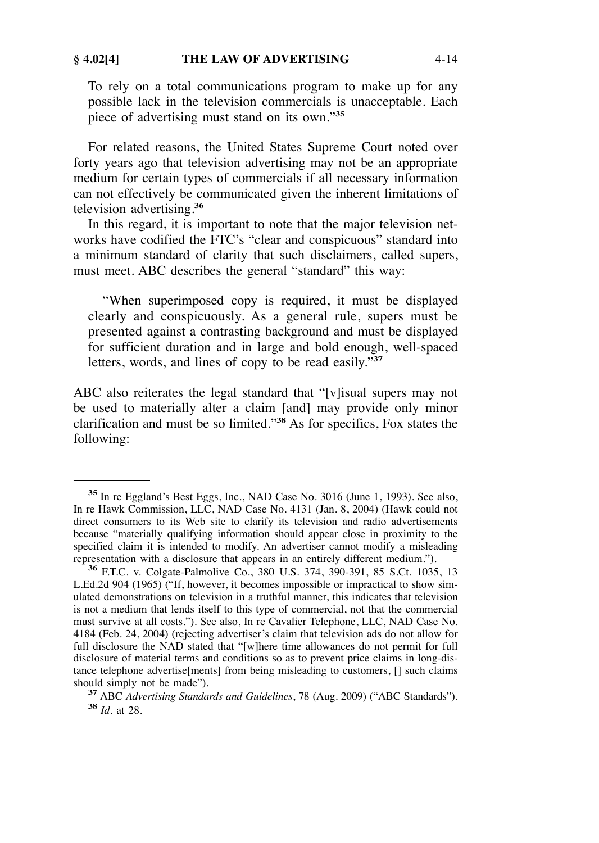To rely on a total communications program to make up for any possible lack in the television commercials is unacceptable. Each piece of advertising must stand on its own."**<sup>35</sup>**

For related reasons, the United States Supreme Court noted over forty years ago that television advertising may not be an appropriate medium for certain types of commercials if all necessary information can not effectively be communicated given the inherent limitations of television advertising.**<sup>36</sup>**

In this regard, it is important to note that the major television networks have codified the FTC's "clear and conspicuous" standard into a minimum standard of clarity that such disclaimers, called supers, must meet. ABC describes the general "standard" this way:

"When superimposed copy is required, it must be displayed clearly and conspicuously. As a general rule, supers must be presented against a contrasting background and must be displayed for sufficient duration and in large and bold enough, well-spaced letters, words, and lines of copy to be read easily."**<sup>37</sup>**

ABC also reiterates the legal standard that "[v]isual supers may not be used to materially alter a claim [and] may provide only minor clarification and must be so limited."**<sup>38</sup>** As for specifics, Fox states the following:

**<sup>35</sup>**In re Eggland's Best Eggs, Inc., NAD Case No. 3016 (June 1, 1993). See also, In re Hawk Commission, LLC, NAD Case No. 4131 (Jan. 8, 2004) (Hawk could not direct consumers to its Web site to clarify its television and radio advertisements because "materially qualifying information should appear close in proximity to the specified claim it is intended to modify. An advertiser cannot modify a misleading representation with a disclosure that appears in an entirely different medium.").

<sup>&</sup>lt;sup>36</sup> F.T.C. v. Colgate-Palmolive Co., 380 U.S. 374, 390-391, 85 S.Ct. 1035, 13 L.Ed.2d 904 (1965) ("If, however, it becomes impossible or impractical to show simulated demonstrations on television in a truthful manner, this indicates that television is not a medium that lends itself to this type of commercial, not that the commercial must survive at all costs."). See also, In re Cavalier Telephone, LLC, NAD Case No. 4184 (Feb. 24, 2004) (rejecting advertiser's claim that television ads do not allow for full disclosure the NAD stated that "[w]here time allowances do not permit for full disclosure of material terms and conditions so as to prevent price claims in long-distance telephone advertise[ments] from being misleading to customers, [] such claims

should simply not be made"). **<sup>37</sup>** ABC *Advertising Standards and Guidelines*, 78 (Aug. 2009) ("ABC Standards"). **<sup>38</sup>***Id.* at 28.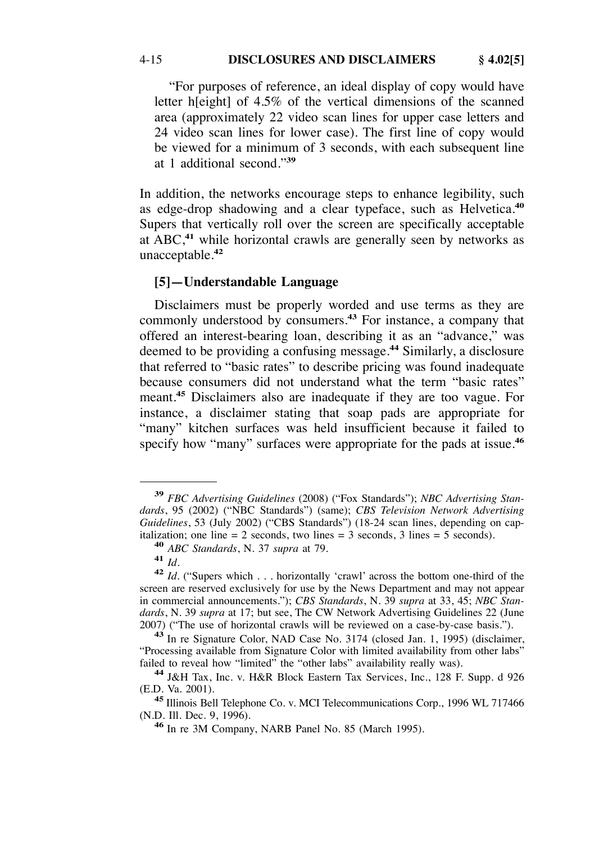"For purposes of reference, an ideal display of copy would have letter h[eight] of 4.5% of the vertical dimensions of the scanned area (approximately 22 video scan lines for upper case letters and 24 video scan lines for lower case). The first line of copy would be viewed for a minimum of 3 seconds, with each subsequent line at 1 additional second."**<sup>39</sup>**

In addition, the networks encourage steps to enhance legibility, such as edge-drop shadowing and a clear typeface, such as Helvetica.**<sup>40</sup>** Supers that vertically roll over the screen are specifically acceptable at ABC,**<sup>41</sup>** while horizontal crawls are generally seen by networks as unacceptable.**<sup>42</sup>**

# **[5]—Understandable Language**

Disclaimers must be properly worded and use terms as they are commonly understood by consumers.**<sup>43</sup>** For instance, a company that offered an interest-bearing loan, describing it as an "advance," was deemed to be providing a confusing message.**<sup>44</sup>** Similarly, a disclosure that referred to "basic rates" to describe pricing was found inadequate because consumers did not understand what the term "basic rates" meant.**<sup>45</sup>** Disclaimers also are inadequate if they are too vague. For instance, a disclaimer stating that soap pads are appropriate for "many" kitchen surfaces was held insufficient because it failed to specify how "many" surfaces were appropriate for the pads at issue.**<sup>46</sup>**

**<sup>39</sup>** *FBC Advertising Guidelines* (2008) ("Fox Standards"); *NBC Advertising Standards*, 95 (2002) ("NBC Standards") (same); *CBS Television Network Advertising Guidelines*, 53 (July 2002) ("CBS Standards") (18-24 scan lines, depending on cap-<br>italization; one line = 2 seconds, two lines = 3 seconds, 3 lines = 5 seconds).

<sup>&</sup>lt;sup>40</sup> *ABC Standards*, N. 37 *supra* at 79.<br><sup>41</sup> *Id.*<br><sup>42</sup> *Id.* ("Supers which ... horizontally 'crawl' across the bottom one-third of the screen are reserved exclusively for use by the News Department and may not appear in commercial announcements."); *CBS Standards*, N. 39 *supra* at 33, 45; *NBC Standards*, N. 39 *supra* at 17; but see, The CW Network Advertising Guidelines 22 (June 2007) ("The use of horizontal crawls will be reviewed on a case-by-case basis.").

<sup>&</sup>lt;sup>43</sup> In re Signature Color, NAD Case No. 3174 (closed Jan. 1, 1995) (disclaimer, "Processing available from Signature Color with limited availability from other labs"

<sup>&</sup>lt;sup>44</sup> J&H Tax, Inc. v. H&R Block Eastern Tax Services, Inc., 128 F. Supp. d 926

<sup>(</sup>E.D. Va. 2001). **<sup>45</sup>**Illinois Bell Telephone Co. v. MCI Telecommunications Corp., 1996 WL 717466

<sup>&</sup>lt;sup>46</sup> In re 3M Company, NARB Panel No. 85 (March 1995).